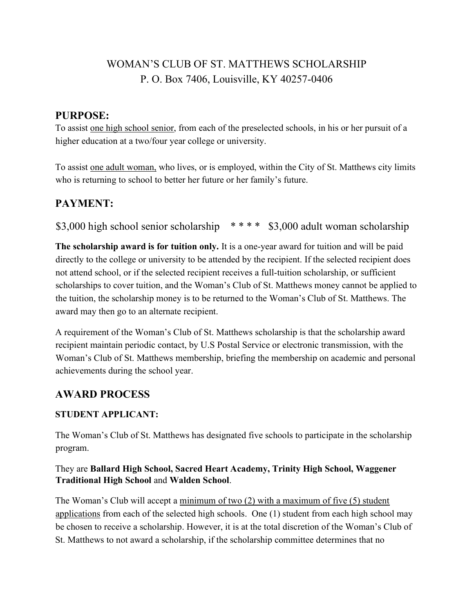# WOMAN'S CLUB OF ST. MATTHEWS SCHOLARSHIP P. O. Box 7406, Louisville, KY 40257-0406

### PURPOSE:

To assist one high school senior, from each of the preselected schools, in his or her pursuit of a higher education at a two/four year college or university.

To assist one adult woman, who lives, or is employed, within the City of St. Matthews city limits who is returning to school to better her future or her family's future.

# PAYMENT:

\$3,000 high school senior scholarship \*\*\*\* \$3,000 adult woman scholarship

The scholarship award is for tuition only. It is a one-year award for tuition and will be paid directly to the college or university to be attended by the recipient. If the selected recipient does not attend school, or if the selected recipient receives a full-tuition scholarship, or sufficient scholarships to cover tuition, and the Woman's Club of St. Matthews money cannot be applied to the tuition, the scholarship money is to be returned to the Woman's Club of St. Matthews. The award may then go to an alternate recipient.

A requirement of the Woman's Club of St. Matthews scholarship is that the scholarship award recipient maintain periodic contact, by U.S Postal Service or electronic transmission, with the Woman's Club of St. Matthews membership, briefing the membership on academic and personal achievements during the school year.

# AWARD PROCESS

### STUDENT APPLICANT:

The Woman's Club of St. Matthews has designated five schools to participate in the scholarship program.

#### They are Ballard High School, Sacred Heart Academy, Trinity High School, Waggener Traditional High School and Walden School.

The Woman's Club will accept a minimum of two (2) with a maximum of five (5) student applications from each of the selected high schools. One (1) student from each high school may be chosen to receive a scholarship. However, it is at the total discretion of the Woman's Club of St. Matthews to not award a scholarship, if the scholarship committee determines that no